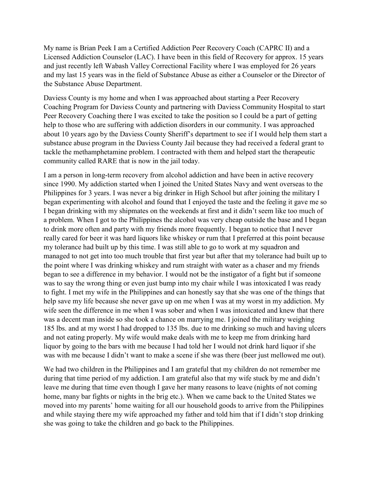My name is Brian Peek I am a Certified Addiction Peer Recovery Coach (CAPRC II) and a Licensed Addiction Counselor (LAC). I have been in this field of Recovery for approx. 15 years and just recently left Wabash Valley Correctional Facility where I was employed for 26 years and my last 15 years was in the field of Substance Abuse as either a Counselor or the Director of the Substance Abuse Department.

Daviess County is my home and when I was approached about starting a Peer Recovery Coaching Program for Daviess County and partnering with Daviess Community Hospital to start Peer Recovery Coaching there I was excited to take the position so I could be a part of getting help to those who are suffering with addiction disorders in our community. I was approached about 10 years ago by the Daviess County Sheriff's department to see if I would help them start a substance abuse program in the Daviess County Jail because they had received a federal grant to tackle the methamphetamine problem. I contracted with them and helped start the therapeutic community called RARE that is now in the jail today.

I am a person in long-term recovery from alcohol addiction and have been in active recovery since 1990. My addiction started when I joined the United States Navy and went overseas to the Philippines for 3 years. I was never a big drinker in High School but after joining the military I began experimenting with alcohol and found that I enjoyed the taste and the feeling it gave me so I began drinking with my shipmates on the weekends at first and it didn't seem like too much of a problem. When I got to the Philippines the alcohol was very cheap outside the base and I began to drink more often and party with my friends more frequently. I began to notice that I never really cared for beer it was hard liquors like whiskey or rum that I preferred at this point because my tolerance had built up by this time. I was still able to go to work at my squadron and managed to not get into too much trouble that first year but after that my tolerance had built up to the point where I was drinking whiskey and rum straight with water as a chaser and my friends began to see a difference in my behavior. I would not be the instigator of a fight but if someone was to say the wrong thing or even just bump into my chair while I was intoxicated I was ready to fight. I met my wife in the Philippines and can honestly say that she was one of the things that help save my life because she never gave up on me when I was at my worst in my addiction. My wife seen the difference in me when I was sober and when I was intoxicated and knew that there was a decent man inside so she took a chance on marrying me. I joined the military weighing 185 lbs. and at my worst I had dropped to 135 lbs. due to me drinking so much and having ulcers and not eating properly. My wife would make deals with me to keep me from drinking hard liquor by going to the bars with me because I had told her I would not drink hard liquor if she was with me because I didn't want to make a scene if she was there (beer just mellowed me out).

We had two children in the Philippines and I am grateful that my children do not remember me during that time period of my addiction. I am grateful also that my wife stuck by me and didn't leave me during that time even though I gave her many reasons to leave (nights of not coming home, many bar fights or nights in the brig etc.). When we came back to the United States we moved into my parents' home waiting for all our household goods to arrive from the Philippines and while staying there my wife approached my father and told him that if I didn't stop drinking she was going to take the children and go back to the Philippines.